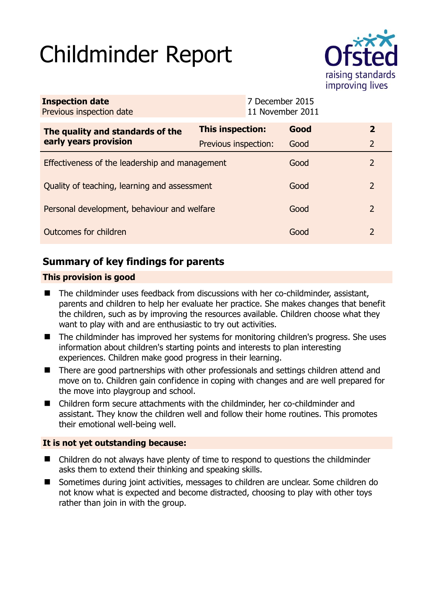# Childminder Report



| <b>Inspection date</b><br>Previous inspection date        |                      | 7 December 2015<br>11 November 2011 |      |                |
|-----------------------------------------------------------|----------------------|-------------------------------------|------|----------------|
| The quality and standards of the<br>early years provision | This inspection:     |                                     | Good | $\overline{2}$ |
|                                                           | Previous inspection: |                                     | Good | 2              |
| Effectiveness of the leadership and management            |                      |                                     | Good | $\mathcal{P}$  |
| Quality of teaching, learning and assessment              |                      |                                     | Good | 2              |
| Personal development, behaviour and welfare               |                      |                                     | Good | 2              |
| Outcomes for children                                     |                      |                                     | Good | $\mathcal{L}$  |

# **Summary of key findings for parents**

## **This provision is good**

- The childminder uses feedback from discussions with her co-childminder, assistant, parents and children to help her evaluate her practice. She makes changes that benefit the children, such as by improving the resources available. Children choose what they want to play with and are enthusiastic to try out activities.
- The childminder has improved her systems for monitoring children's progress. She uses information about children's starting points and interests to plan interesting experiences. Children make good progress in their learning.
- There are good partnerships with other professionals and settings children attend and move on to. Children gain confidence in coping with changes and are well prepared for the move into playgroup and school.
- Children form secure attachments with the childminder, her co-childminder and assistant. They know the children well and follow their home routines. This promotes their emotional well-being well.

## **It is not yet outstanding because:**

- Children do not always have plenty of time to respond to questions the childminder asks them to extend their thinking and speaking skills.
- Sometimes during joint activities, messages to children are unclear. Some children do not know what is expected and become distracted, choosing to play with other toys rather than join in with the group.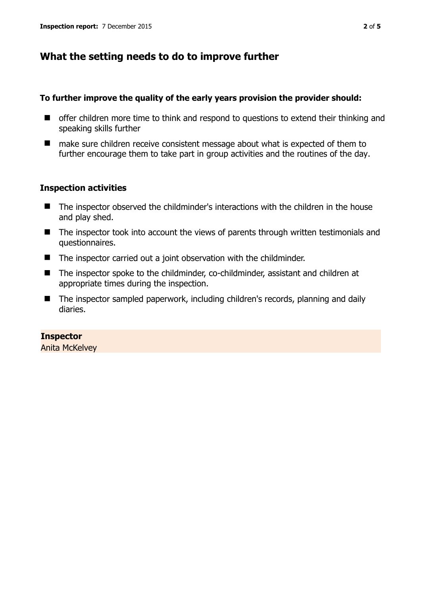# **What the setting needs to do to improve further**

#### **To further improve the quality of the early years provision the provider should:**

- $\blacksquare$  offer children more time to think and respond to questions to extend their thinking and speaking skills further
- make sure children receive consistent message about what is expected of them to further encourage them to take part in group activities and the routines of the day.

### **Inspection activities**

- The inspector observed the childminder's interactions with the children in the house and play shed.
- The inspector took into account the views of parents through written testimonials and questionnaires.
- The inspector carried out a joint observation with the childminder.
- The inspector spoke to the childminder, co-childminder, assistant and children at appropriate times during the inspection.
- The inspector sampled paperwork, including children's records, planning and daily diaries.

## **Inspector**

Anita McKelvey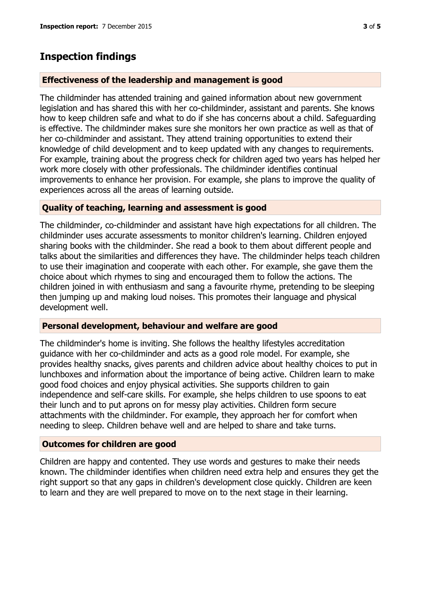## **Inspection findings**

#### **Effectiveness of the leadership and management is good**

The childminder has attended training and gained information about new government legislation and has shared this with her co-childminder, assistant and parents. She knows how to keep children safe and what to do if she has concerns about a child. Safeguarding is effective. The childminder makes sure she monitors her own practice as well as that of her co-childminder and assistant. They attend training opportunities to extend their knowledge of child development and to keep updated with any changes to requirements. For example, training about the progress check for children aged two years has helped her work more closely with other professionals. The childminder identifies continual improvements to enhance her provision. For example, she plans to improve the quality of experiences across all the areas of learning outside.

#### **Quality of teaching, learning and assessment is good**

The childminder, co-childminder and assistant have high expectations for all children. The childminder uses accurate assessments to monitor children's learning. Children enjoyed sharing books with the childminder. She read a book to them about different people and talks about the similarities and differences they have. The childminder helps teach children to use their imagination and cooperate with each other. For example, she gave them the choice about which rhymes to sing and encouraged them to follow the actions. The children joined in with enthusiasm and sang a favourite rhyme, pretending to be sleeping then jumping up and making loud noises. This promotes their language and physical development well.

#### **Personal development, behaviour and welfare are good**

The childminder's home is inviting. She follows the healthy lifestyles accreditation guidance with her co-childminder and acts as a good role model. For example, she provides healthy snacks, gives parents and children advice about healthy choices to put in lunchboxes and information about the importance of being active. Children learn to make good food choices and enjoy physical activities. She supports children to gain independence and self-care skills. For example, she helps children to use spoons to eat their lunch and to put aprons on for messy play activities. Children form secure attachments with the childminder. For example, they approach her for comfort when needing to sleep. Children behave well and are helped to share and take turns.

#### **Outcomes for children are good**

Children are happy and contented. They use words and gestures to make their needs known. The childminder identifies when children need extra help and ensures they get the right support so that any gaps in children's development close quickly. Children are keen to learn and they are well prepared to move on to the next stage in their learning.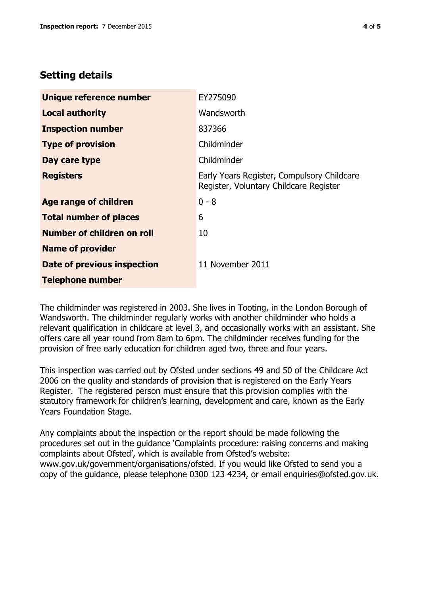# **Setting details**

| Unique reference number       | EY275090                                                                             |  |
|-------------------------------|--------------------------------------------------------------------------------------|--|
| <b>Local authority</b>        | Wandsworth                                                                           |  |
| <b>Inspection number</b>      | 837366                                                                               |  |
| <b>Type of provision</b>      | Childminder                                                                          |  |
| Day care type                 | Childminder                                                                          |  |
| <b>Registers</b>              | Early Years Register, Compulsory Childcare<br>Register, Voluntary Childcare Register |  |
| Age range of children         | $0 - 8$                                                                              |  |
| <b>Total number of places</b> | 6                                                                                    |  |
| Number of children on roll    | 10                                                                                   |  |
| <b>Name of provider</b>       |                                                                                      |  |
| Date of previous inspection   | 11 November 2011                                                                     |  |
| <b>Telephone number</b>       |                                                                                      |  |

The childminder was registered in 2003. She lives in Tooting, in the London Borough of Wandsworth. The childminder regularly works with another childminder who holds a relevant qualification in childcare at level 3, and occasionally works with an assistant. She offers care all year round from 8am to 6pm. The childminder receives funding for the provision of free early education for children aged two, three and four years.

This inspection was carried out by Ofsted under sections 49 and 50 of the Childcare Act 2006 on the quality and standards of provision that is registered on the Early Years Register. The registered person must ensure that this provision complies with the statutory framework for children's learning, development and care, known as the Early Years Foundation Stage.

Any complaints about the inspection or the report should be made following the procedures set out in the guidance 'Complaints procedure: raising concerns and making complaints about Ofsted', which is available from Ofsted's website: www.gov.uk/government/organisations/ofsted. If you would like Ofsted to send you a copy of the guidance, please telephone 0300 123 4234, or email enquiries@ofsted.gov.uk.